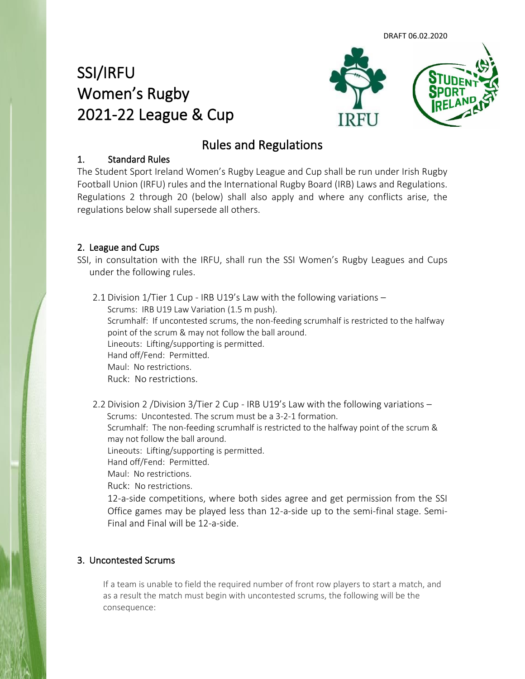DRAFT 06.02.2020

# SSI/IRFU Women's Rugby 2021-22 League & Cup



## Rules and Regulations

## 1. Standard Rules

The Student Sport Ireland Women's Rugby League and Cup shall be run under Irish Rugby Football Union (IRFU) rules and the International Rugby Board (IRB) Laws and Regulations. Regulations 2 through 20 (below) shall also apply and where any conflicts arise, the regulations below shall supersede all others.

## 2. League and Cups

SSI, in consultation with the IRFU, shall run the SSI Women's Rugby Leagues and Cups under the following rules.

2.1 Division 1/Tier 1 Cup - IRB U19's Law with the following variations – Scrums: IRB U19 Law Variation (1.5 m push). Scrumhalf: If uncontested scrums, the non-feeding scrumhalf is restricted to the halfway point of the scrum & may not follow the ball around. Lineouts: Lifting/supporting is permitted. Hand off/Fend: Permitted. Maul: No restrictions. Ruck: No restrictions.

2.2 Division 2 /Division 3/Tier 2 Cup - IRB U19's Law with the following variations – Scrums: Uncontested. The scrum must be a 3-2-1 formation.

Scrumhalf: The non-feeding scrumhalf is restricted to the halfway point of the scrum & may not follow the ball around.

Lineouts: Lifting/supporting is permitted.

Hand off/Fend: Permitted.

Maul: No restrictions.

Ruck: No restrictions.

12-a-side competitions, where both sides agree and get permission from the SSI Office games may be played less than 12-a-side up to the semi-final stage. Semi-Final and Final will be 12-a-side.

## 3. Uncontested Scrums

If a team is unable to field the required number of front row players to start a match, and as a result the match must begin with uncontested scrums, the following will be the consequence: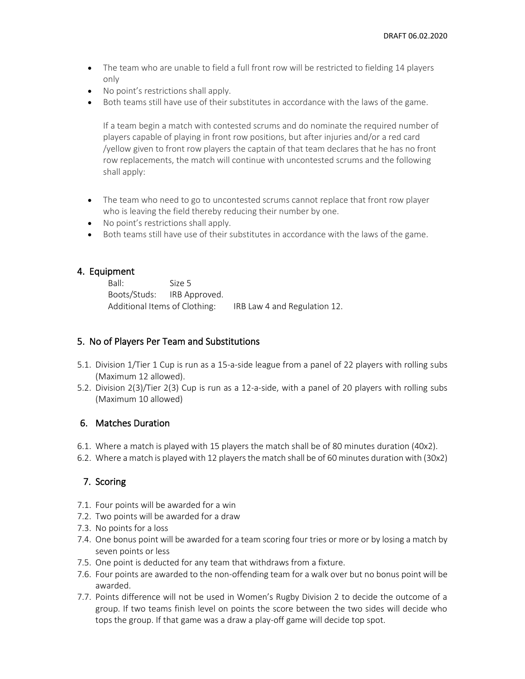- The team who are unable to field a full front row will be restricted to fielding 14 players only
- No point's restrictions shall apply.
- Both teams still have use of their substitutes in accordance with the laws of the game.

If a team begin a match with contested scrums and do nominate the required number of players capable of playing in front row positions, but after injuries and/or a red card /yellow given to front row players the captain of that team declares that he has no front row replacements, the match will continue with uncontested scrums and the following shall apply:

- The team who need to go to uncontested scrums cannot replace that front row player who is leaving the field thereby reducing their number by one.
- No point's restrictions shall apply.
- Both teams still have use of their substitutes in accordance with the laws of the game.

## 4. Equipment

Ball: Size 5 Boots/Studs: IRB Approved. Additional Items of Clothing: IRB Law 4 and Regulation 12.

## 5. No of Players Per Team and Substitutions

- 5.1. Division 1/Tier 1 Cup is run as a 15-a-side league from a panel of 22 players with rolling subs (Maximum 12 allowed).
- 5.2. Division 2(3)/Tier 2(3) Cup is run as a 12-a-side, with a panel of 20 players with rolling subs (Maximum 10 allowed)

## 6. Matches Duration

- 6.1. Where a match is played with 15 players the match shall be of 80 minutes duration (40x2).
- 6.2. Where a match is played with 12 players the match shall be of 60 minutes duration with (30x2)

## 7. Scoring

- 7.1. Four points will be awarded for a win
- 7.2. Two points will be awarded for a draw
- 7.3. No points for a loss
- 7.4. One bonus point will be awarded for a team scoring four tries or more or by losing a match by seven points or less
- 7.5. One point is deducted for any team that withdraws from a fixture.
- 7.6. Four points are awarded to the non-offending team for a walk over but no bonus point will be awarded.
- 7.7. Points difference will not be used in Women's Rugby Division 2 to decide the outcome of a group. If two teams finish level on points the score between the two sides will decide who tops the group. If that game was a draw a play-off game will decide top spot.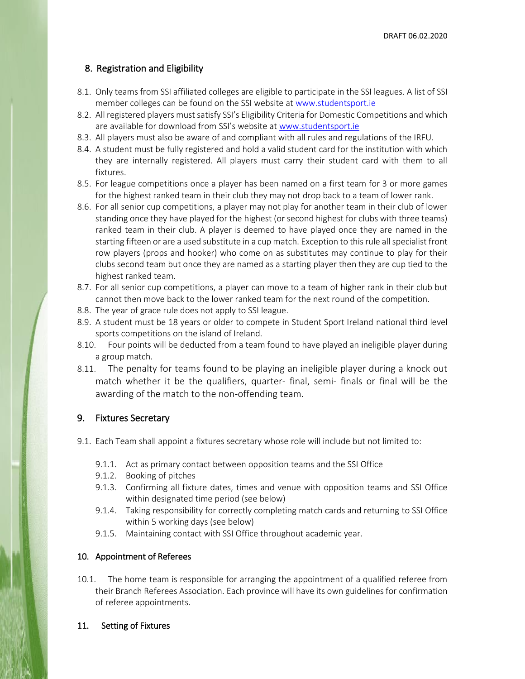## 8. Registration and Eligibility

- 8.1. Only teams from SSI affiliated colleges are eligible to participate in the SSI leagues. A list of SSI member colleges can be found on the SSI website a[t www.studentsport.ie](http://www.studentsport.ie/)
- 8.2. All registered players must satisfy SSI's Eligibility Criteria for Domestic Competitions and which are available for download from SSI's website at [www.studentsport.ie](http://www.studentsport.ie/)
- 8.3. All players must also be aware of and compliant with all rules and regulations of the IRFU.
- 8.4. A student must be fully registered and hold a valid student card for the institution with which they are internally registered. All players must carry their student card with them to all fixtures.
- 8.5. For league competitions once a player has been named on a first team for 3 or more games for the highest ranked team in their club they may not drop back to a team of lower rank.
- 8.6. For all senior cup competitions, a player may not play for another team in their club of lower standing once they have played for the highest (or second highest for clubs with three teams) ranked team in their club. A player is deemed to have played once they are named in the starting fifteen or are a used substitute in a cup match. Exception to this rule all specialist front row players (props and hooker) who come on as substitutes may continue to play for their clubs second team but once they are named as a starting player then they are cup tied to the highest ranked team.
- 8.7. For all senior cup competitions, a player can move to a team of higher rank in their club but cannot then move back to the lower ranked team for the next round of the competition.
- 8.8. The year of grace rule does not apply to SSI league.
- 8.9. A student must be 18 years or older to compete in Student Sport Ireland national third level sports competitions on the island of Ireland.
- 8.10. Four points will be deducted from a team found to have played an ineligible player during a group match.
- 8.11. The penalty for teams found to be playing an ineligible player during a knock out match whether it be the qualifiers, quarter- final, semi- finals or final will be the awarding of the match to the non-offending team.

#### 9. Fixtures Secretary

- 9.1. Each Team shall appoint a fixtures secretary whose role will include but not limited to:
	- 9.1.1. Act as primary contact between opposition teams and the SSI Office
	- 9.1.2. Booking of pitches
	- 9.1.3. Confirming all fixture dates, times and venue with opposition teams and SSI Office within designated time period (see below)
	- 9.1.4. Taking responsibility for correctly completing match cards and returning to SSI Office within 5 working days (see below)
	- 9.1.5. Maintaining contact with SSI Office throughout academic year.

#### 10. Appointment of Referees

10.1. The home team is responsible for arranging the appointment of a qualified referee from their Branch Referees Association. Each province will have its own guidelines for confirmation of referee appointments.

#### 11. Setting of Fixtures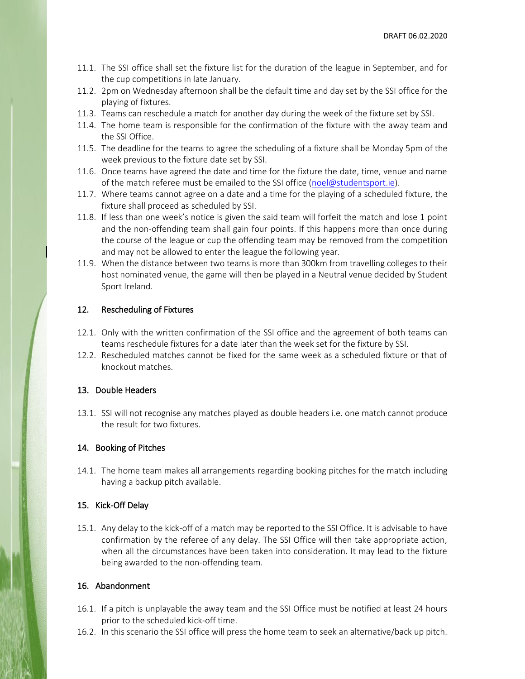- 11.1. The SSI office shall set the fixture list for the duration of the league in September, and for the cup competitions in late January.
- 11.2. 2pm on Wednesday afternoon shall be the default time and day set by the SSI office for the playing of fixtures.
- 11.3. Teams can reschedule a match for another day during the week of the fixture set by SSI.
- 11.4. The home team is responsible for the confirmation of the fixture with the away team and the SSI Office.
- 11.5. The deadline for the teams to agree the scheduling of a fixture shall be Monday 5pm of the week previous to the fixture date set by SSI.
- 11.6. Once teams have agreed the date and time for the fixture the date, time, venue and name of the match referee must be emailed to the SSI office [\(noel@studentsport.ie\)](mailto:noel@studentsport.ie).
- 11.7. Where teams cannot agree on a date and a time for the playing of a scheduled fixture, the fixture shall proceed as scheduled by SSI.
- 11.8. If less than one week's notice is given the said team will forfeit the match and lose 1 point and the non-offending team shall gain four points. If this happens more than once during the course of the league or cup the offending team may be removed from the competition and may not be allowed to enter the league the following year.
- 11.9. When the distance between two teams is more than 300km from travelling colleges to their host nominated venue, the game will then be played in a Neutral venue decided by Student Sport Ireland.

#### 12. Rescheduling of Fixtures

- 12.1. Only with the written confirmation of the SSI office and the agreement of both teams can teams reschedule fixtures for a date later than the week set for the fixture by SSI.
- 12.2. Rescheduled matches cannot be fixed for the same week as a scheduled fixture or that of knockout matches.

#### 13. Double Headers

13.1. SSI will not recognise any matches played as double headers i.e. one match cannot produce the result for two fixtures.

#### 14. Booking of Pitches

14.1. The home team makes all arrangements regarding booking pitches for the match including having a backup pitch available.

#### 15. Kick-Off Delay

15.1. Any delay to the kick-off of a match may be reported to the SSI Office. It is advisable to have confirmation by the referee of any delay. The SSI Office will then take appropriate action, when all the circumstances have been taken into consideration. It may lead to the fixture being awarded to the non-offending team.

#### 16. Abandonment

- 16.1. If a pitch is unplayable the away team and the SSI Office must be notified at least 24 hours prior to the scheduled kick-off time.
- 16.2. In this scenario the SSI office will press the home team to seek an alternative/back up pitch.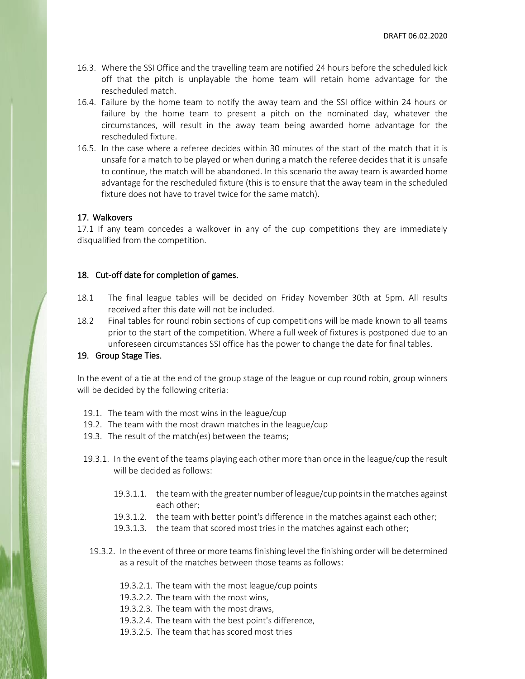- 16.3. Where the SSI Office and the travelling team are notified 24 hours before the scheduled kick off that the pitch is unplayable the home team will retain home advantage for the rescheduled match.
- 16.4. Failure by the home team to notify the away team and the SSI office within 24 hours or failure by the home team to present a pitch on the nominated day, whatever the circumstances, will result in the away team being awarded home advantage for the rescheduled fixture.
- 16.5. In the case where a referee decides within 30 minutes of the start of the match that it is unsafe for a match to be played or when during a match the referee decides that it is unsafe to continue, the match will be abandoned. In this scenario the away team is awarded home advantage for the rescheduled fixture (this is to ensure that the away team in the scheduled fixture does not have to travel twice for the same match).

#### 17. Walkovers

17.1 If any team concedes a walkover in any of the cup competitions they are immediately disqualified from the competition.

#### 18. Cut-off date for completion of games.

- 18.1 The final league tables will be decided on Friday November 30th at 5pm. All results received after this date will not be included.
- 18.2 Final tables for round robin sections of cup competitions will be made known to all teams prior to the start of the competition. Where a full week of fixtures is postponed due to an unforeseen circumstances SSI office has the power to change the date for final tables.

#### 19. Group Stage Ties.

In the event of a tie at the end of the group stage of the league or cup round robin, group winners will be decided by the following criteria:

- 19.1. The team with the most wins in the league/cup
- 19.2. The team with the most drawn matches in the league/cup
- 19.3. The result of the match(es) between the teams;
- 19.3.1. In the event of the teams playing each other more than once in the league/cup the result will be decided as follows:
	- 19.3.1.1. the team with the greater number of league/cup points in the matches against each other;
	- 19.3.1.2. the team with better point's difference in the matches against each other;
	- 19.3.1.3. the team that scored most tries in the matches against each other;
	- 19.3.2. In the event of three or more teams finishing level the finishing order will be determined as a result of the matches between those teams as follows:
		- 19.3.2.1. The team with the most league/cup points
		- 19.3.2.2. The team with the most wins,
		- 19.3.2.3. The team with the most draws,
		- 19.3.2.4. The team with the best point's difference,
		- 19.3.2.5. The team that has scored most tries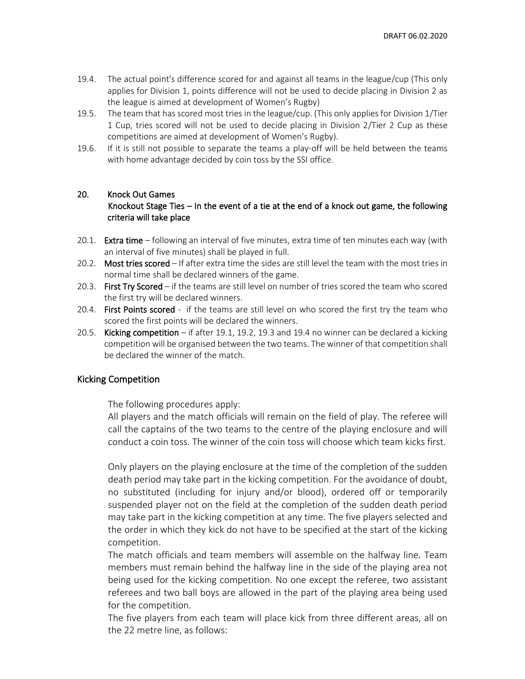- 19.4. The actual point's difference scored for and against all teams in the league/cup (This only applies for Division 1, points difference will not be used to decide placing in Division 2 as the league is aimed at development of Women's Rugby)
- 19.5. The team that has scored most tries in the league/cup. (This only applies for Division 1/Tier 1 Cup, tries scored will not be used to decide placing in Division 2/Tier 2 Cup as these competitions are aimed at development of Women's Rugby).
- 19.6. If it is still not possible to separate the teams a play-off will be held between the teams with home advantage decided by coin toss by the SSI office.

#### 20. Knock Out Games

## Knockout Stage Ties – In the event of a tie at the end of a knock out game, the following criteria will take place

- 20.1. **Extra time** following an interval of five minutes, extra time of ten minutes each way (with an interval of five minutes) shall be played in full.
- 20.2. Most tries scored If after extra time the sides are still level the team with the most tries in normal time shall be declared winners of the game.
- 20.3. First Try Scored if the teams are still level on number of tries scored the team who scored the first try will be declared winners.
- 20.4. First Points scored if the teams are still level on who scored the first try the team who scored the first points will be declared the winners.
- 20.5. Kicking competition if after 19.1, 19.2, 19.3 and 19.4 no winner can be declared a kicking competition will be organised between the two teams. The winner of that competition shall be declared the winner of the match.

#### Kicking Competition

The following procedures apply:

All players and the match officials will remain on the field of play. The referee will call the captains of the two teams to the centre of the playing enclosure and will conduct a coin toss. The winner of the coin toss will choose which team kicks first.

Only players on the playing enclosure at the time of the completion of the sudden death period may take part in the kicking competition. For the avoidance of doubt, no substituted (including for injury and/or blood), ordered off or temporarily suspended player not on the field at the completion of the sudden death period may take part in the kicking competition at any time. The five players selected and the order in which they kick do not have to be specified at the start of the kicking competition.

The match officials and team members will assemble on the halfway line. Team members must remain behind the halfway line in the side of the playing area not being used for the kicking competition. No one except the referee, two assistant referees and two ball boys are allowed in the part of the playing area being used for the competition.

The five players from each team will place kick from three different areas, all on the 22 metre line, as follows: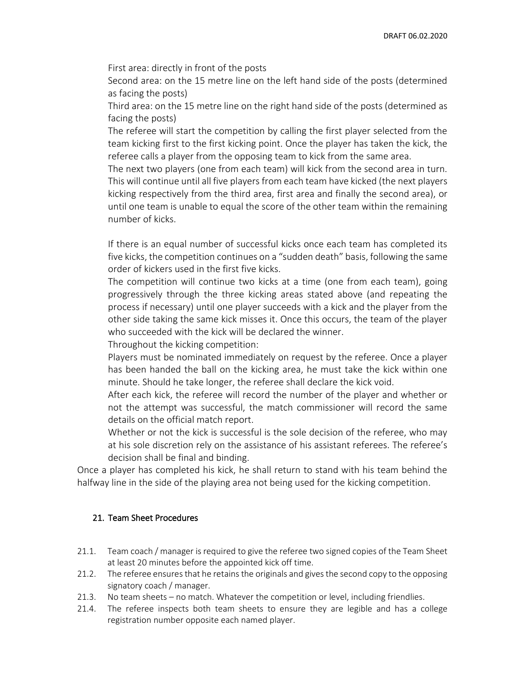First area: directly in front of the posts

Second area: on the 15 metre line on the left hand side of the posts (determined as facing the posts)

Third area: on the 15 metre line on the right hand side of the posts (determined as facing the posts)

The referee will start the competition by calling the first player selected from the team kicking first to the first kicking point. Once the player has taken the kick, the referee calls a player from the opposing team to kick from the same area.

The next two players (one from each team) will kick from the second area in turn. This will continue until all five players from each team have kicked (the next players kicking respectively from the third area, first area and finally the second area), or until one team is unable to equal the score of the other team within the remaining number of kicks.

If there is an equal number of successful kicks once each team has completed its five kicks, the competition continues on a "sudden death" basis, following the same order of kickers used in the first five kicks.

The competition will continue two kicks at a time (one from each team), going progressively through the three kicking areas stated above (and repeating the process if necessary) until one player succeeds with a kick and the player from the other side taking the same kick misses it. Once this occurs, the team of the player who succeeded with the kick will be declared the winner.

Throughout the kicking competition:

Players must be nominated immediately on request by the referee. Once a player has been handed the ball on the kicking area, he must take the kick within one minute. Should he take longer, the referee shall declare the kick void.

After each kick, the referee will record the number of the player and whether or not the attempt was successful, the match commissioner will record the same details on the official match report.

Whether or not the kick is successful is the sole decision of the referee, who may at his sole discretion rely on the assistance of his assistant referees. The referee's decision shall be final and binding.

Once a player has completed his kick, he shall return to stand with his team behind the halfway line in the side of the playing area not being used for the kicking competition.

## 21. Team Sheet Procedures

- 21.1. Team coach / manager is required to give the referee two signed copies of the Team Sheet at least 20 minutes before the appointed kick off time.
- 21.2. The referee ensures that he retains the originals and gives the second copy to the opposing signatory coach / manager.
- 21.3. No team sheets no match. Whatever the competition or level, including friendlies.
- 21.4. The referee inspects both team sheets to ensure they are legible and has a college registration number opposite each named player.